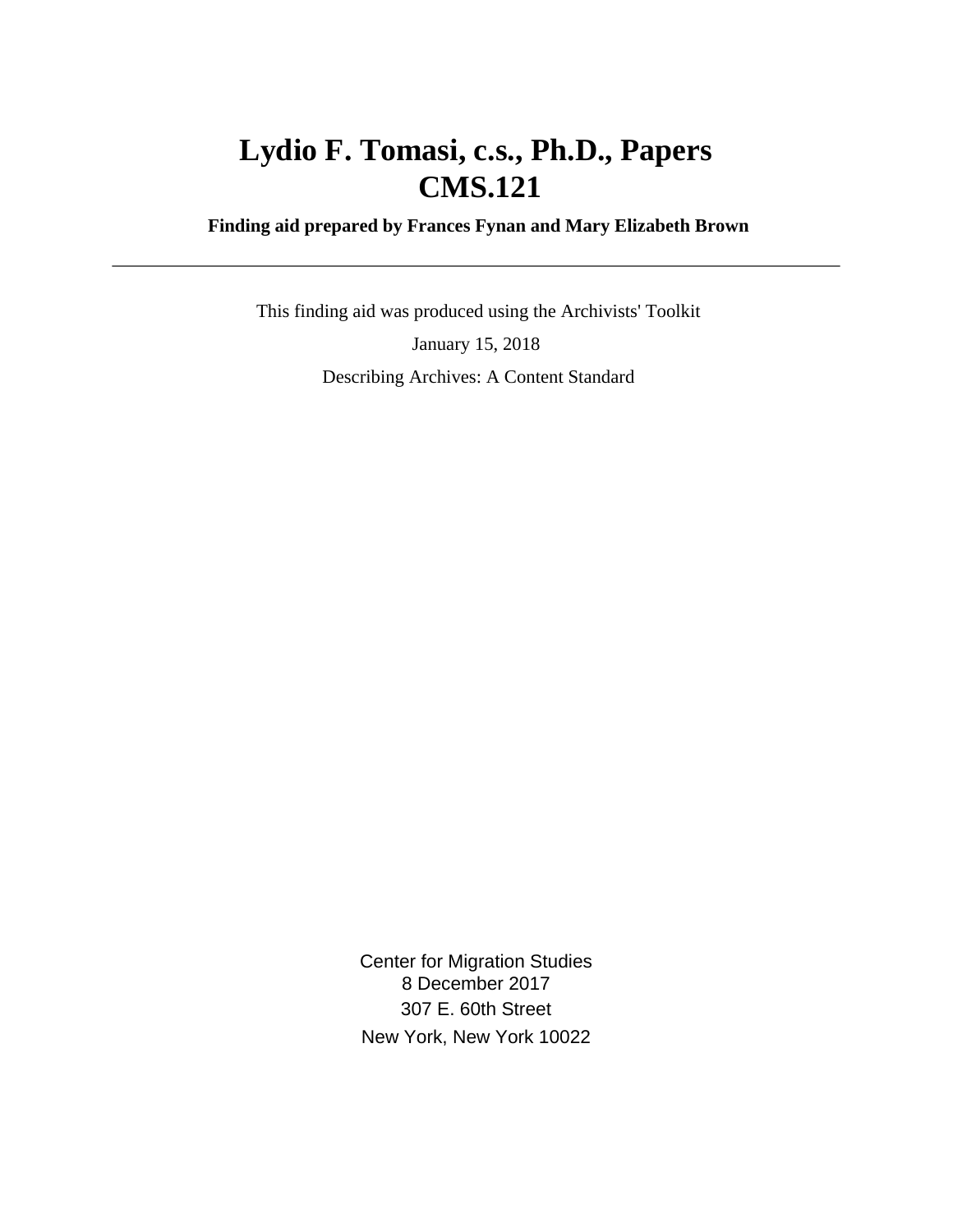## **Lydio F. Tomasi, c.s., Ph.D., Papers CMS.121**

 **Finding aid prepared by Frances Fynan and Mary Elizabeth Brown**

 This finding aid was produced using the Archivists' Toolkit January 15, 2018 Describing Archives: A Content Standard

> Center for Migration Studies 8 December 2017 307 E. 60th Street New York, New York 10022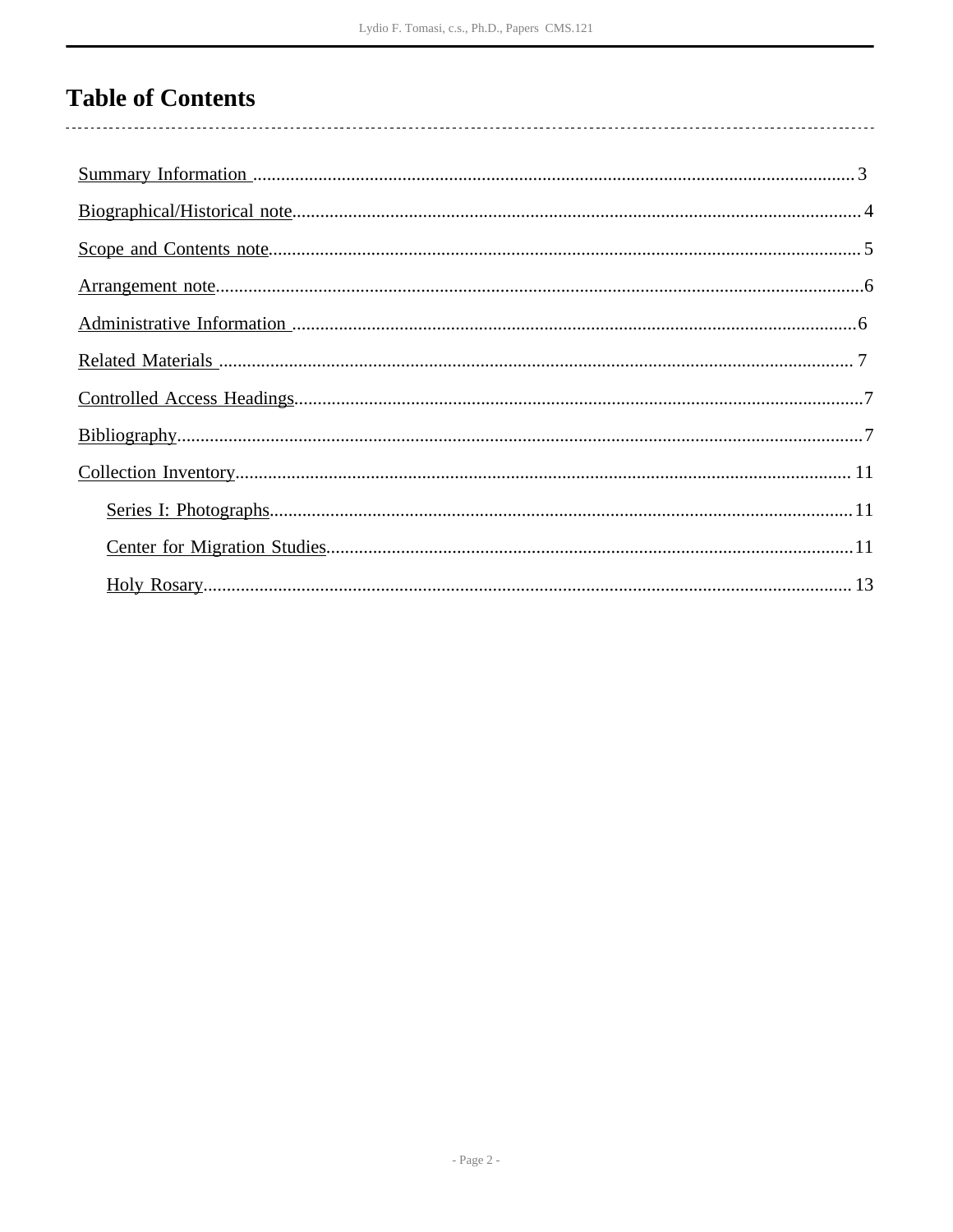## **Table of Contents**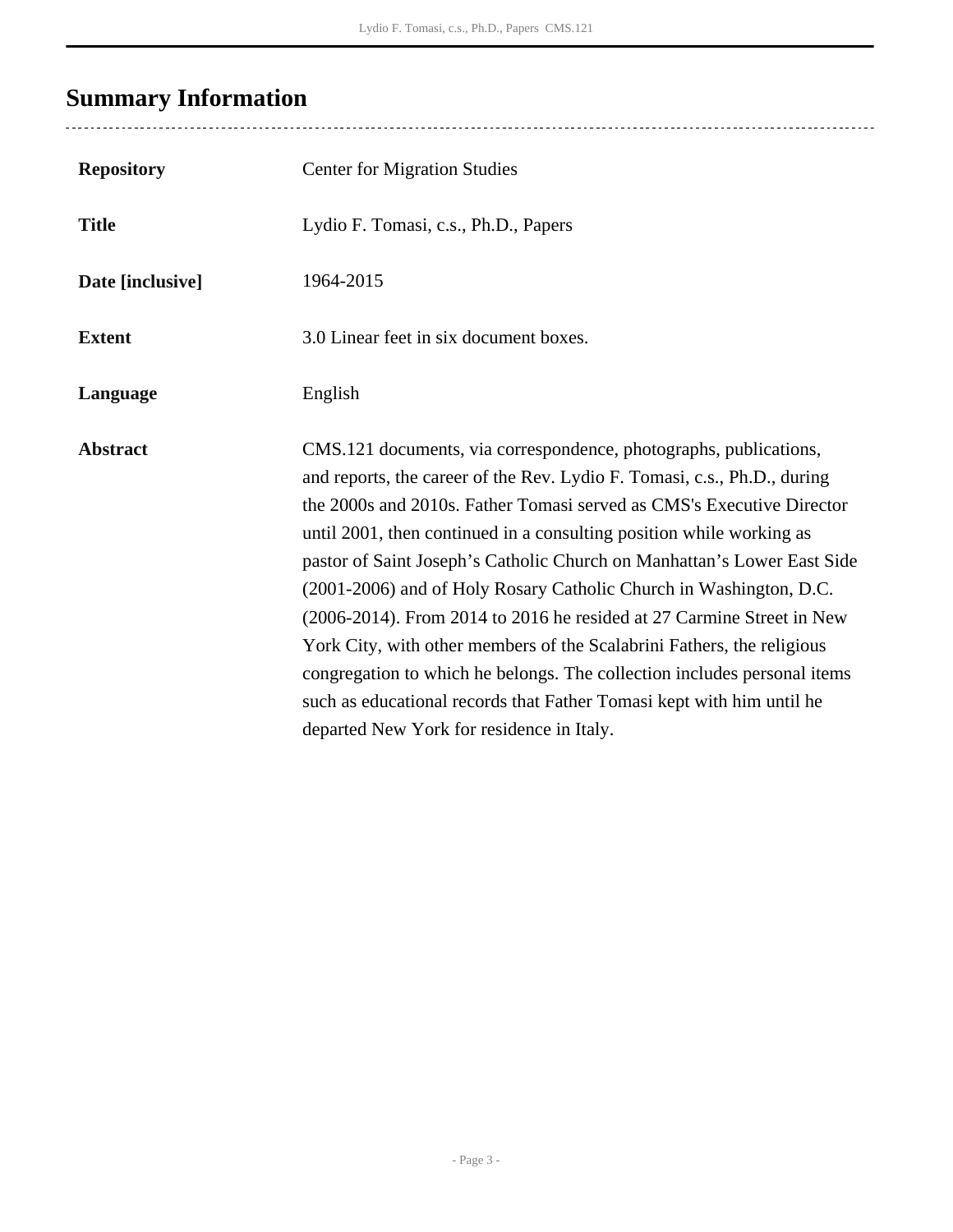## <span id="page-2-0"></span>**Summary Information**

| <b>Repository</b> | <b>Center for Migration Studies</b>                                                                                                                                                                                                                                                                                                                                                                                                                                                                                                                                                                                                                                                                                                                                                                  |
|-------------------|------------------------------------------------------------------------------------------------------------------------------------------------------------------------------------------------------------------------------------------------------------------------------------------------------------------------------------------------------------------------------------------------------------------------------------------------------------------------------------------------------------------------------------------------------------------------------------------------------------------------------------------------------------------------------------------------------------------------------------------------------------------------------------------------------|
| <b>Title</b>      | Lydio F. Tomasi, c.s., Ph.D., Papers                                                                                                                                                                                                                                                                                                                                                                                                                                                                                                                                                                                                                                                                                                                                                                 |
| Date [inclusive]  | 1964-2015                                                                                                                                                                                                                                                                                                                                                                                                                                                                                                                                                                                                                                                                                                                                                                                            |
| <b>Extent</b>     | 3.0 Linear feet in six document boxes.                                                                                                                                                                                                                                                                                                                                                                                                                                                                                                                                                                                                                                                                                                                                                               |
| Language          | English                                                                                                                                                                                                                                                                                                                                                                                                                                                                                                                                                                                                                                                                                                                                                                                              |
| <b>Abstract</b>   | CMS.121 documents, via correspondence, photographs, publications,<br>and reports, the career of the Rev. Lydio F. Tomasi, c.s., Ph.D., during<br>the 2000s and 2010s. Father Tomasi served as CMS's Executive Director<br>until 2001, then continued in a consulting position while working as<br>pastor of Saint Joseph's Catholic Church on Manhattan's Lower East Side<br>(2001-2006) and of Holy Rosary Catholic Church in Washington, D.C.<br>(2006-2014). From 2014 to 2016 he resided at 27 Carmine Street in New<br>York City, with other members of the Scalabrini Fathers, the religious<br>congregation to which he belongs. The collection includes personal items<br>such as educational records that Father Tomasi kept with him until he<br>departed New York for residence in Italy. |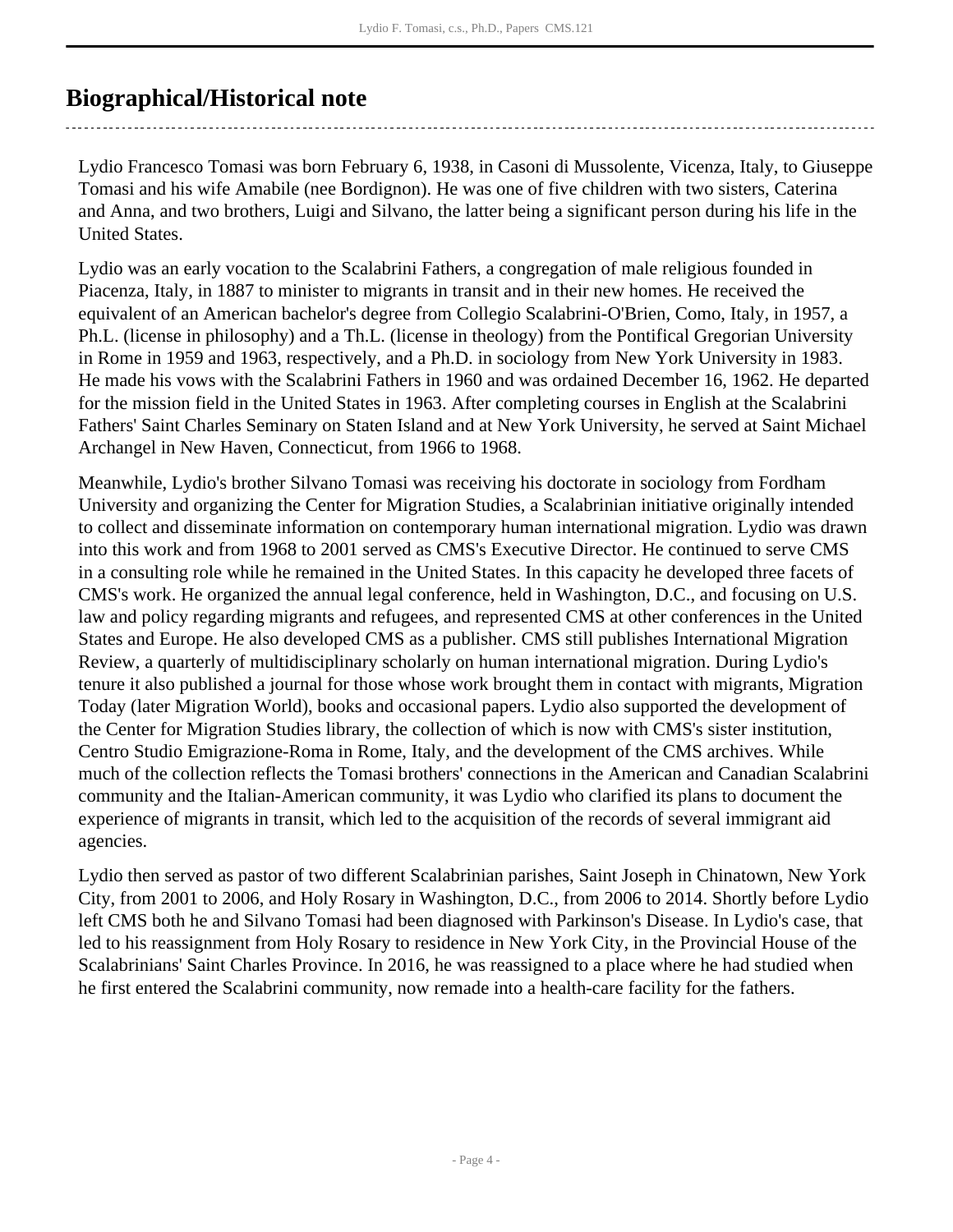## <span id="page-3-0"></span>**Biographical/Historical note**

Lydio Francesco Tomasi was born February 6, 1938, in Casoni di Mussolente, Vicenza, Italy, to Giuseppe Tomasi and his wife Amabile (nee Bordignon). He was one of five children with two sisters, Caterina and Anna, and two brothers, Luigi and Silvano, the latter being a significant person during his life in the United States.

Lydio was an early vocation to the Scalabrini Fathers, a congregation of male religious founded in Piacenza, Italy, in 1887 to minister to migrants in transit and in their new homes. He received the equivalent of an American bachelor's degree from Collegio Scalabrini-O'Brien, Como, Italy, in 1957, a Ph.L. (license in philosophy) and a Th.L. (license in theology) from the Pontifical Gregorian University in Rome in 1959 and 1963, respectively, and a Ph.D. in sociology from New York University in 1983. He made his vows with the Scalabrini Fathers in 1960 and was ordained December 16, 1962. He departed for the mission field in the United States in 1963. After completing courses in English at the Scalabrini Fathers' Saint Charles Seminary on Staten Island and at New York University, he served at Saint Michael Archangel in New Haven, Connecticut, from 1966 to 1968.

Meanwhile, Lydio's brother Silvano Tomasi was receiving his doctorate in sociology from Fordham University and organizing the Center for Migration Studies, a Scalabrinian initiative originally intended to collect and disseminate information on contemporary human international migration. Lydio was drawn into this work and from 1968 to 2001 served as CMS's Executive Director. He continued to serve CMS in a consulting role while he remained in the United States. In this capacity he developed three facets of CMS's work. He organized the annual legal conference, held in Washington, D.C., and focusing on U.S. law and policy regarding migrants and refugees, and represented CMS at other conferences in the United States and Europe. He also developed CMS as a publisher. CMS still publishes International Migration Review, a quarterly of multidisciplinary scholarly on human international migration. During Lydio's tenure it also published a journal for those whose work brought them in contact with migrants, Migration Today (later Migration World), books and occasional papers. Lydio also supported the development of the Center for Migration Studies library, the collection of which is now with CMS's sister institution, Centro Studio Emigrazione-Roma in Rome, Italy, and the development of the CMS archives. While much of the collection reflects the Tomasi brothers' connections in the American and Canadian Scalabrini community and the Italian-American community, it was Lydio who clarified its plans to document the experience of migrants in transit, which led to the acquisition of the records of several immigrant aid agencies.

Lydio then served as pastor of two different Scalabrinian parishes, Saint Joseph in Chinatown, New York City, from 2001 to 2006, and Holy Rosary in Washington, D.C., from 2006 to 2014. Shortly before Lydio left CMS both he and Silvano Tomasi had been diagnosed with Parkinson's Disease. In Lydio's case, that led to his reassignment from Holy Rosary to residence in New York City, in the Provincial House of the Scalabrinians' Saint Charles Province. In 2016, he was reassigned to a place where he had studied when he first entered the Scalabrini community, now remade into a health-care facility for the fathers.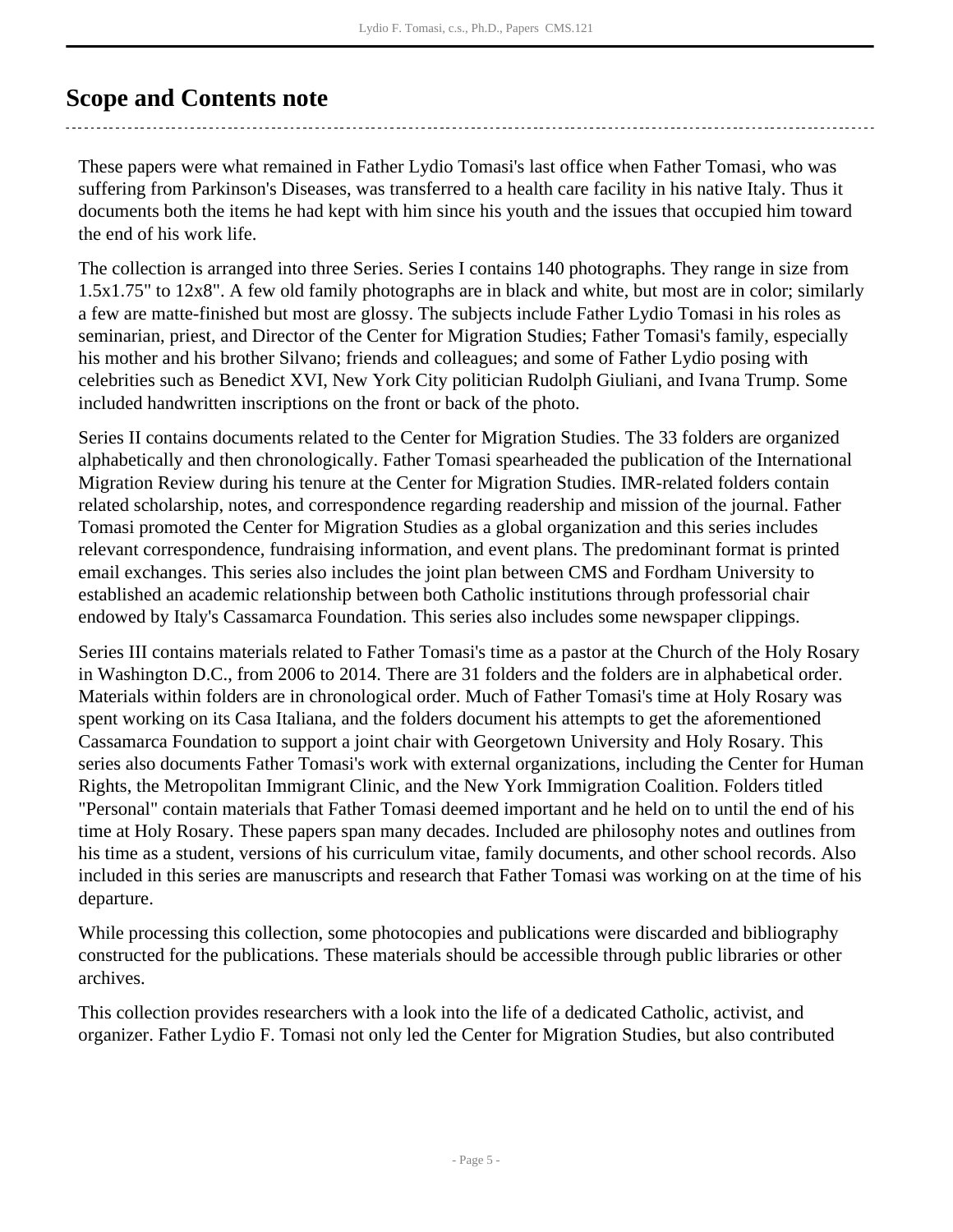### <span id="page-4-0"></span>**Scope and Contents note**

These papers were what remained in Father Lydio Tomasi's last office when Father Tomasi, who was suffering from Parkinson's Diseases, was transferred to a health care facility in his native Italy. Thus it documents both the items he had kept with him since his youth and the issues that occupied him toward the end of his work life.

The collection is arranged into three Series. Series I contains 140 photographs. They range in size from 1.5x1.75" to 12x8". A few old family photographs are in black and white, but most are in color; similarly a few are matte-finished but most are glossy. The subjects include Father Lydio Tomasi in his roles as seminarian, priest, and Director of the Center for Migration Studies; Father Tomasi's family, especially his mother and his brother Silvano; friends and colleagues; and some of Father Lydio posing with celebrities such as Benedict XVI, New York City politician Rudolph Giuliani, and Ivana Trump. Some included handwritten inscriptions on the front or back of the photo.

Series II contains documents related to the Center for Migration Studies. The 33 folders are organized alphabetically and then chronologically. Father Tomasi spearheaded the publication of the International Migration Review during his tenure at the Center for Migration Studies. IMR-related folders contain related scholarship, notes, and correspondence regarding readership and mission of the journal. Father Tomasi promoted the Center for Migration Studies as a global organization and this series includes relevant correspondence, fundraising information, and event plans. The predominant format is printed email exchanges. This series also includes the joint plan between CMS and Fordham University to established an academic relationship between both Catholic institutions through professorial chair endowed by Italy's Cassamarca Foundation. This series also includes some newspaper clippings.

Series III contains materials related to Father Tomasi's time as a pastor at the Church of the Holy Rosary in Washington D.C., from 2006 to 2014. There are 31 folders and the folders are in alphabetical order. Materials within folders are in chronological order. Much of Father Tomasi's time at Holy Rosary was spent working on its Casa Italiana, and the folders document his attempts to get the aforementioned Cassamarca Foundation to support a joint chair with Georgetown University and Holy Rosary. This series also documents Father Tomasi's work with external organizations, including the Center for Human Rights, the Metropolitan Immigrant Clinic, and the New York Immigration Coalition. Folders titled "Personal" contain materials that Father Tomasi deemed important and he held on to until the end of his time at Holy Rosary. These papers span many decades. Included are philosophy notes and outlines from his time as a student, versions of his curriculum vitae, family documents, and other school records. Also included in this series are manuscripts and research that Father Tomasi was working on at the time of his departure.

While processing this collection, some photocopies and publications were discarded and bibliography constructed for the publications. These materials should be accessible through public libraries or other archives.

This collection provides researchers with a look into the life of a dedicated Catholic, activist, and organizer. Father Lydio F. Tomasi not only led the Center for Migration Studies, but also contributed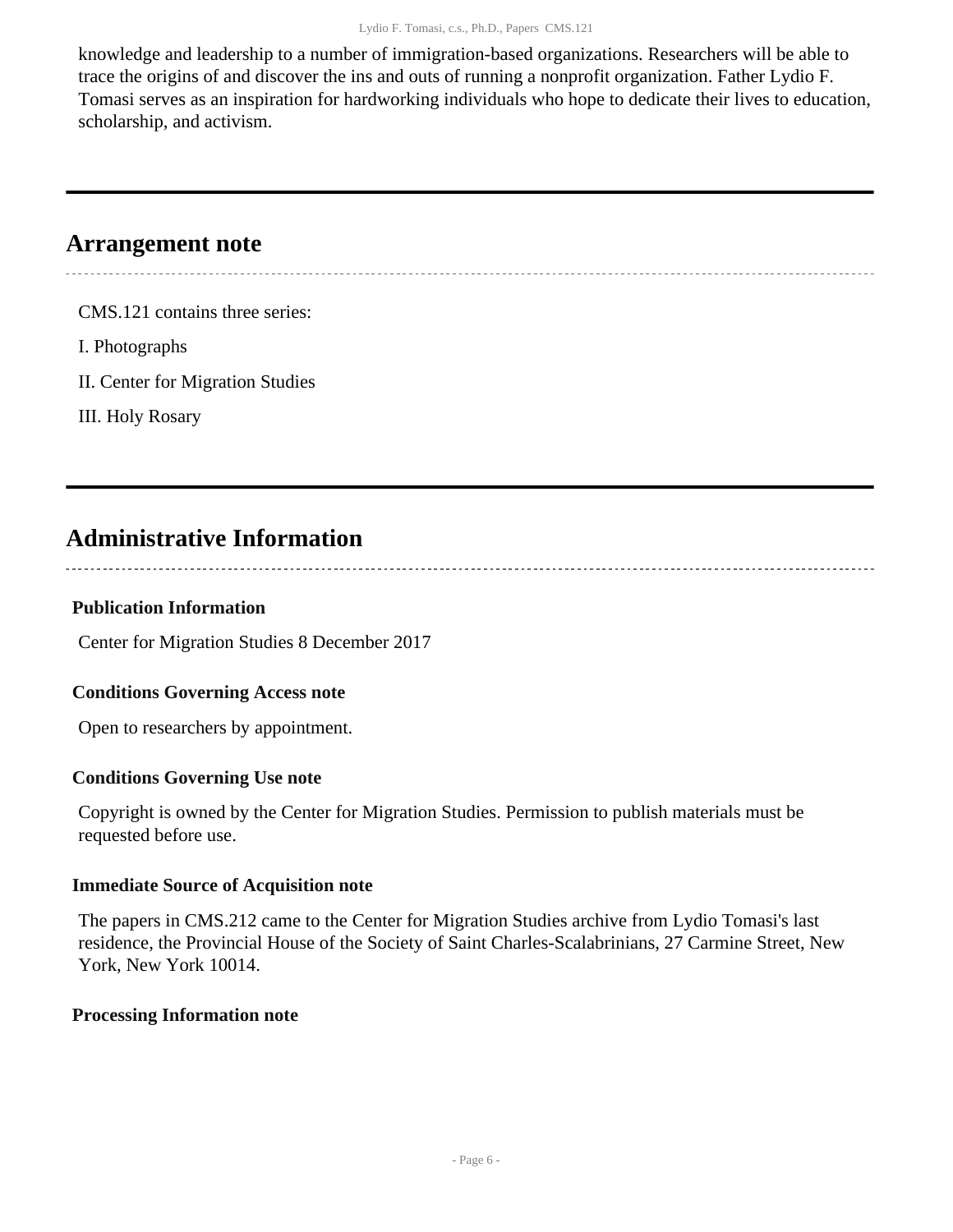knowledge and leadership to a number of immigration-based organizations. Researchers will be able to trace the origins of and discover the ins and outs of running a nonprofit organization. Father Lydio F. Tomasi serves as an inspiration for hardworking individuals who hope to dedicate their lives to education, scholarship, and activism.

### <span id="page-5-0"></span>**Arrangement note**

CMS.121 contains three series:

I. Photographs

II. Center for Migration Studies

III. Holy Rosary

### <span id="page-5-1"></span>**Administrative Information**

#### **Publication Information**

Center for Migration Studies 8 December 2017

#### **Conditions Governing Access note**

Open to researchers by appointment.

#### **Conditions Governing Use note**

Copyright is owned by the Center for Migration Studies. Permission to publish materials must be requested before use.

#### **Immediate Source of Acquisition note**

The papers in CMS.212 came to the Center for Migration Studies archive from Lydio Tomasi's last residence, the Provincial House of the Society of Saint Charles-Scalabrinians, 27 Carmine Street, New York, New York 10014.

#### **Processing Information note**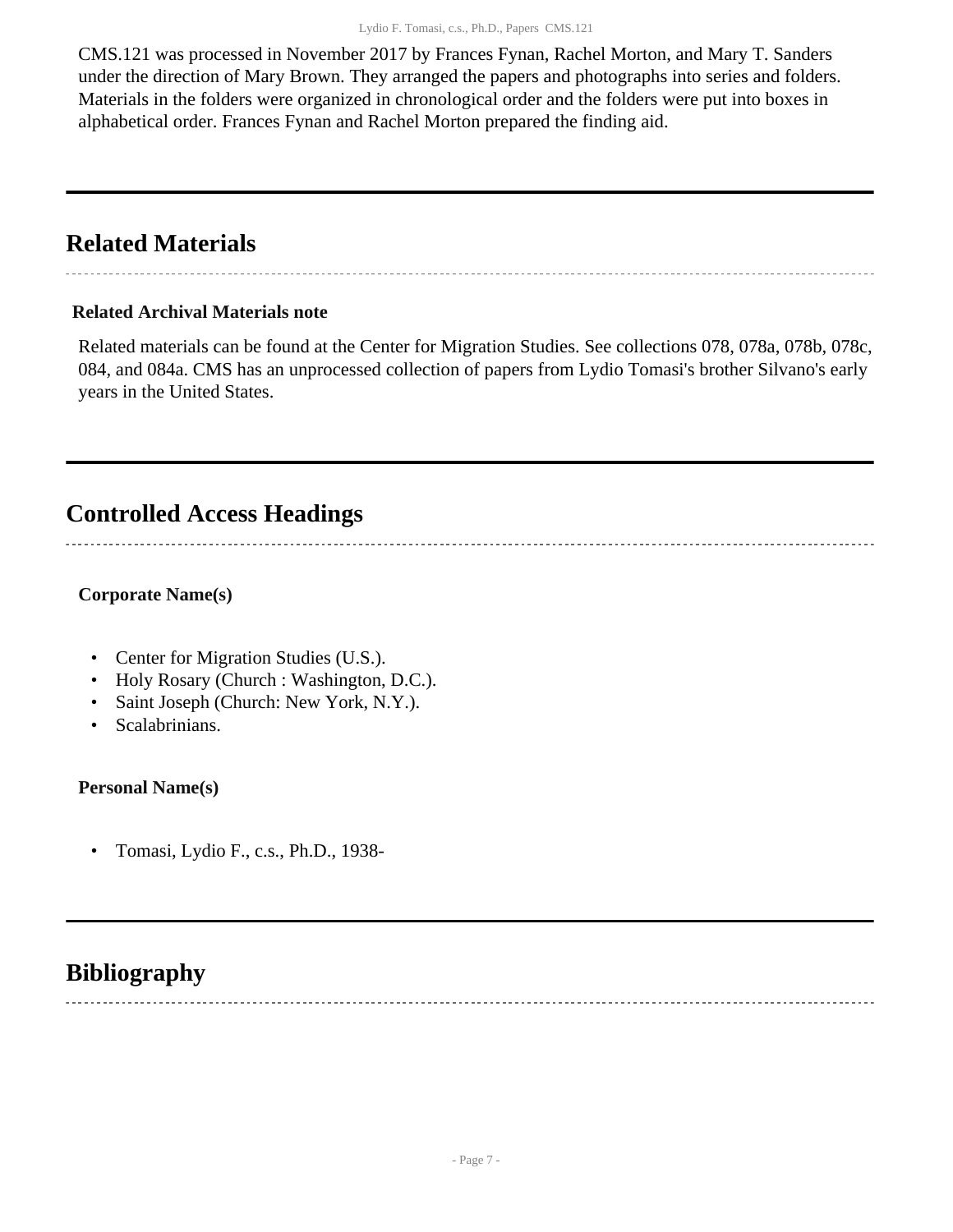CMS.121 was processed in November 2017 by Frances Fynan, Rachel Morton, and Mary T. Sanders under the direction of Mary Brown. They arranged the papers and photographs into series and folders. Materials in the folders were organized in chronological order and the folders were put into boxes in alphabetical order. Frances Fynan and Rachel Morton prepared the finding aid.

### <span id="page-6-0"></span>**Related Materials**

#### **Related Archival Materials note**

Related materials can be found at the Center for Migration Studies. See collections 078, 078a, 078b, 078c, 084, and 084a. CMS has an unprocessed collection of papers from Lydio Tomasi's brother Silvano's early years in the United States.

### <span id="page-6-1"></span>**Controlled Access Headings**

#### **Corporate Name(s)**

- Center for Migration Studies (U.S.).
- Holy Rosary (Church : Washington, D.C.).
- Saint Joseph (Church: New York, N.Y.).
- Scalabrinians.

**Personal Name(s)**

• Tomasi, Lydio F., c.s., Ph.D., 1938-

### <span id="page-6-2"></span>**Bibliography**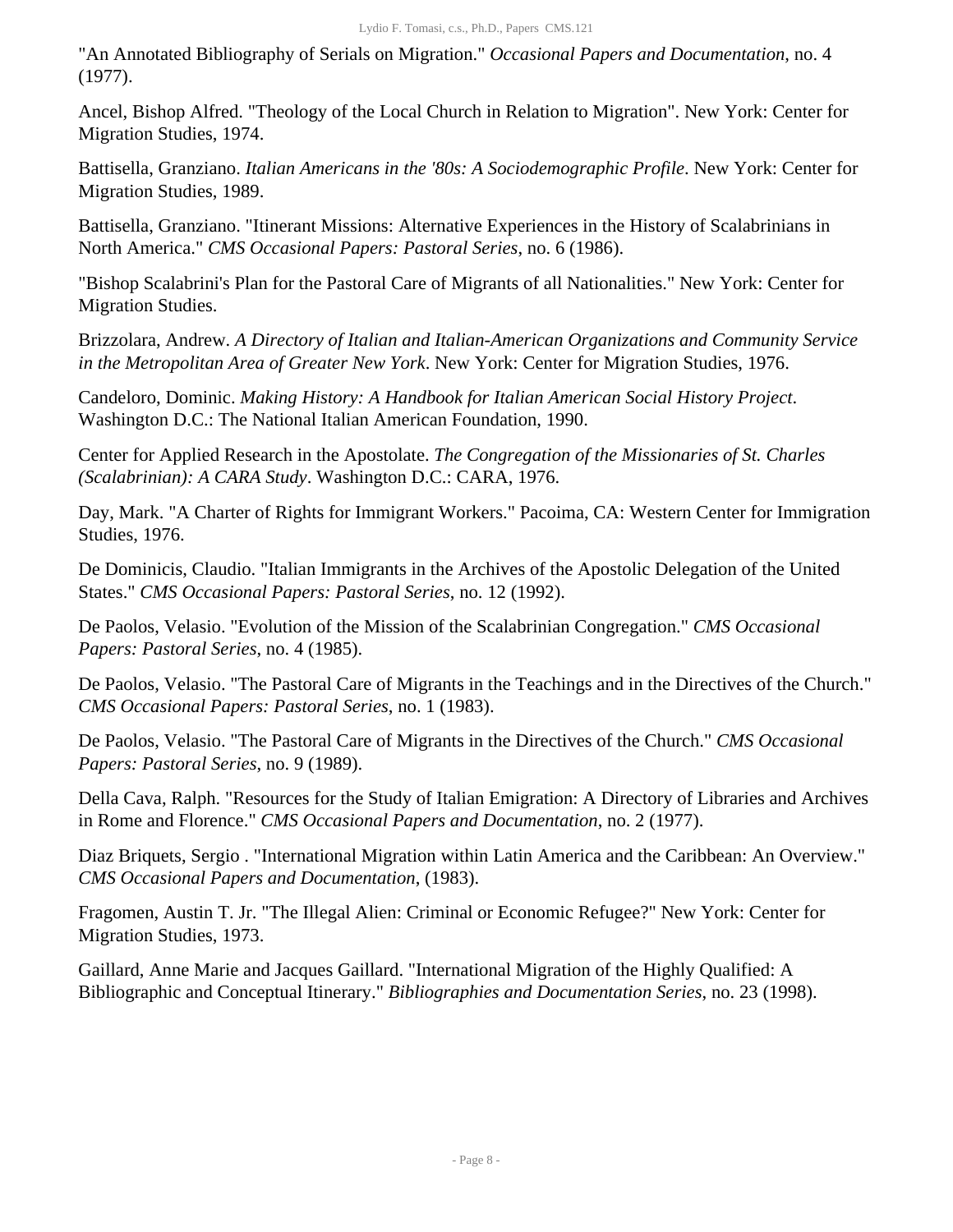"An Annotated Bibliography of Serials on Migration." *Occasional Papers and Documentation*, no. 4 (1977).

Ancel, Bishop Alfred. "Theology of the Local Church in Relation to Migration". New York: Center for Migration Studies, 1974.

Battisella, Granziano. *Italian Americans in the '80s: A Sociodemographic Profile*. New York: Center for Migration Studies, 1989.

Battisella, Granziano. "Itinerant Missions: Alternative Experiences in the History of Scalabrinians in North America." *CMS Occasional Papers: Pastoral Series*, no. 6 (1986).

"Bishop Scalabrini's Plan for the Pastoral Care of Migrants of all Nationalities." New York: Center for Migration Studies.

Brizzolara, Andrew. *A Directory of Italian and Italian-American Organizations and Community Service in the Metropolitan Area of Greater New York*. New York: Center for Migration Studies, 1976.

Candeloro, Dominic. *Making History: A Handbook for Italian American Social History Project*. Washington D.C.: The National Italian American Foundation, 1990.

Center for Applied Research in the Apostolate. *The Congregation of the Missionaries of St. Charles (Scalabrinian): A CARA Study*. Washington D.C.: CARA, 1976.

Day, Mark. "A Charter of Rights for Immigrant Workers." Pacoima, CA: Western Center for Immigration Studies, 1976.

De Dominicis, Claudio. "Italian Immigrants in the Archives of the Apostolic Delegation of the United States." *CMS Occasional Papers: Pastoral Series*, no. 12 (1992).

De Paolos, Velasio. "Evolution of the Mission of the Scalabrinian Congregation." *CMS Occasional Papers: Pastoral Series*, no. 4 (1985).

De Paolos, Velasio. "The Pastoral Care of Migrants in the Teachings and in the Directives of the Church." *CMS Occasional Papers: Pastoral Series*, no. 1 (1983).

De Paolos, Velasio. "The Pastoral Care of Migrants in the Directives of the Church." *CMS Occasional Papers: Pastoral Series*, no. 9 (1989).

Della Cava, Ralph. "Resources for the Study of Italian Emigration: A Directory of Libraries and Archives in Rome and Florence." *CMS Occasional Papers and Documentation*, no. 2 (1977).

Diaz Briquets, Sergio . "International Migration within Latin America and the Caribbean: An Overview." *CMS Occasional Papers and Documentation*, (1983).

Fragomen, Austin T. Jr. "The Illegal Alien: Criminal or Economic Refugee?" New York: Center for Migration Studies, 1973.

Gaillard, Anne Marie and Jacques Gaillard. "International Migration of the Highly Qualified: A Bibliographic and Conceptual Itinerary." *Bibliographies and Documentation Series*, no. 23 (1998).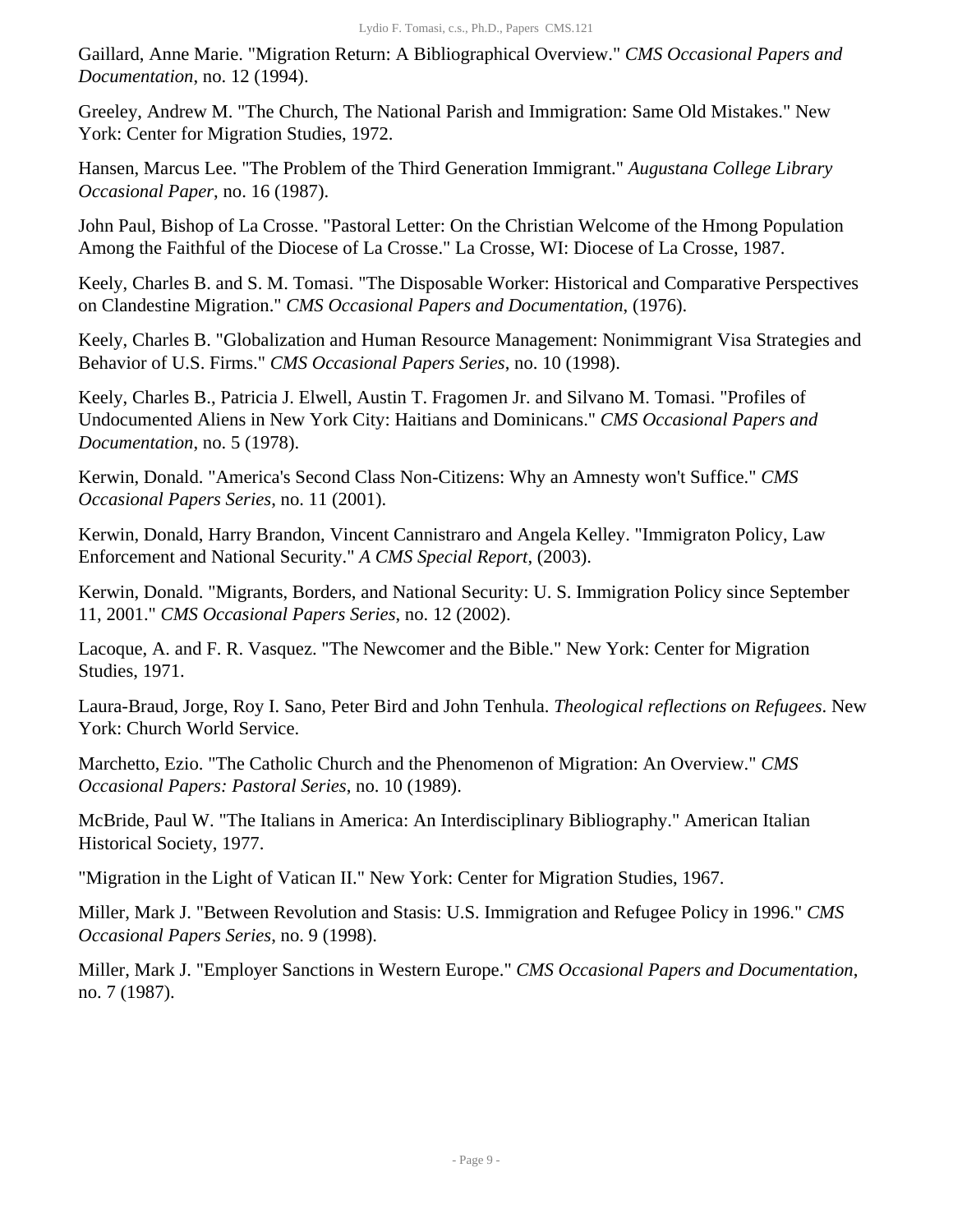Gaillard, Anne Marie. "Migration Return: A Bibliographical Overview." *CMS Occasional Papers and Documentation*, no. 12 (1994).

Greeley, Andrew M. "The Church, The National Parish and Immigration: Same Old Mistakes." New York: Center for Migration Studies, 1972.

Hansen, Marcus Lee. "The Problem of the Third Generation Immigrant." *Augustana College Library Occasional Paper*, no. 16 (1987).

John Paul, Bishop of La Crosse. "Pastoral Letter: On the Christian Welcome of the Hmong Population Among the Faithful of the Diocese of La Crosse." La Crosse, WI: Diocese of La Crosse, 1987.

Keely, Charles B. and S. M. Tomasi. "The Disposable Worker: Historical and Comparative Perspectives on Clandestine Migration." *CMS Occasional Papers and Documentation*, (1976).

Keely, Charles B. "Globalization and Human Resource Management: Nonimmigrant Visa Strategies and Behavior of U.S. Firms." *CMS Occasional Papers Series*, no. 10 (1998).

Keely, Charles B., Patricia J. Elwell, Austin T. Fragomen Jr. and Silvano M. Tomasi. "Profiles of Undocumented Aliens in New York City: Haitians and Dominicans." *CMS Occasional Papers and Documentation*, no. 5 (1978).

Kerwin, Donald. "America's Second Class Non-Citizens: Why an Amnesty won't Suffice." *CMS Occasional Papers Series*, no. 11 (2001).

Kerwin, Donald, Harry Brandon, Vincent Cannistraro and Angela Kelley. "Immigraton Policy, Law Enforcement and National Security." *A CMS Special Report*, (2003).

Kerwin, Donald. "Migrants, Borders, and National Security: U. S. Immigration Policy since September 11, 2001." *CMS Occasional Papers Series*, no. 12 (2002).

Lacoque, A. and F. R. Vasquez. "The Newcomer and the Bible." New York: Center for Migration Studies, 1971.

Laura-Braud, Jorge, Roy I. Sano, Peter Bird and John Tenhula. *Theological reflections on Refugees*. New York: Church World Service.

Marchetto, Ezio. "The Catholic Church and the Phenomenon of Migration: An Overview." *CMS Occasional Papers: Pastoral Series*, no. 10 (1989).

McBride, Paul W. "The Italians in America: An Interdisciplinary Bibliography." American Italian Historical Society, 1977.

"Migration in the Light of Vatican II." New York: Center for Migration Studies, 1967.

Miller, Mark J. "Between Revolution and Stasis: U.S. Immigration and Refugee Policy in 1996." *CMS Occasional Papers Series*, no. 9 (1998).

Miller, Mark J. "Employer Sanctions in Western Europe." *CMS Occasional Papers and Documentation*, no. 7 (1987).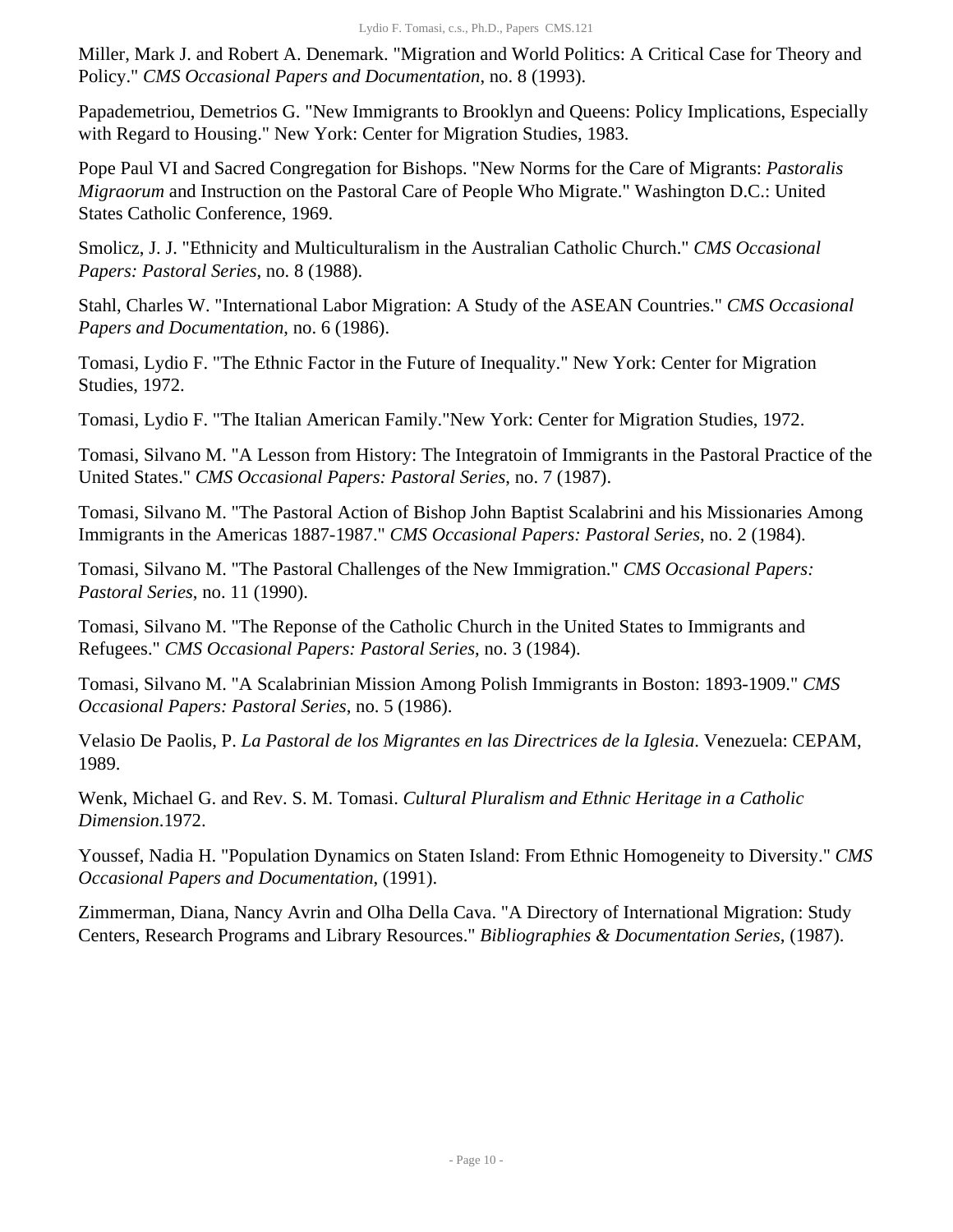Miller, Mark J. and Robert A. Denemark. "Migration and World Politics: A Critical Case for Theory and Policy." *CMS Occasional Papers and Documentation*, no. 8 (1993).

Papademetriou, Demetrios G. "New Immigrants to Brooklyn and Queens: Policy Implications, Especially with Regard to Housing." New York: Center for Migration Studies, 1983.

Pope Paul VI and Sacred Congregation for Bishops. "New Norms for the Care of Migrants: *Pastoralis Migraorum* and Instruction on the Pastoral Care of People Who Migrate." Washington D.C.: United States Catholic Conference, 1969.

Smolicz, J. J. "Ethnicity and Multiculturalism in the Australian Catholic Church." *CMS Occasional Papers: Pastoral Series*, no. 8 (1988).

Stahl, Charles W. "International Labor Migration: A Study of the ASEAN Countries." *CMS Occasional Papers and Documentation*, no. 6 (1986).

Tomasi, Lydio F. "The Ethnic Factor in the Future of Inequality." New York: Center for Migration Studies, 1972.

Tomasi, Lydio F. "The Italian American Family."New York: Center for Migration Studies, 1972.

Tomasi, Silvano M. "A Lesson from History: The Integratoin of Immigrants in the Pastoral Practice of the United States." *CMS Occasional Papers: Pastoral Series*, no. 7 (1987).

Tomasi, Silvano M. "The Pastoral Action of Bishop John Baptist Scalabrini and his Missionaries Among Immigrants in the Americas 1887-1987." *CMS Occasional Papers: Pastoral Series*, no. 2 (1984).

Tomasi, Silvano M. "The Pastoral Challenges of the New Immigration." *CMS Occasional Papers: Pastoral Series*, no. 11 (1990).

Tomasi, Silvano M. "The Reponse of the Catholic Church in the United States to Immigrants and Refugees." *CMS Occasional Papers: Pastoral Series*, no. 3 (1984).

Tomasi, Silvano M. "A Scalabrinian Mission Among Polish Immigrants in Boston: 1893-1909." *CMS Occasional Papers: Pastoral Series*, no. 5 (1986).

Velasio De Paolis, P. *La Pastoral de los Migrantes en las Directrices de la Iglesia*. Venezuela: CEPAM, 1989.

Wenk, Michael G. and Rev. S. M. Tomasi. *Cultural Pluralism and Ethnic Heritage in a Catholic Dimension*.1972.

Youssef, Nadia H. "Population Dynamics on Staten Island: From Ethnic Homogeneity to Diversity." *CMS Occasional Papers and Documentation*, (1991).

Zimmerman, Diana, Nancy Avrin and Olha Della Cava. "A Directory of International Migration: Study Centers, Research Programs and Library Resources." *Bibliographies & Documentation Series*, (1987).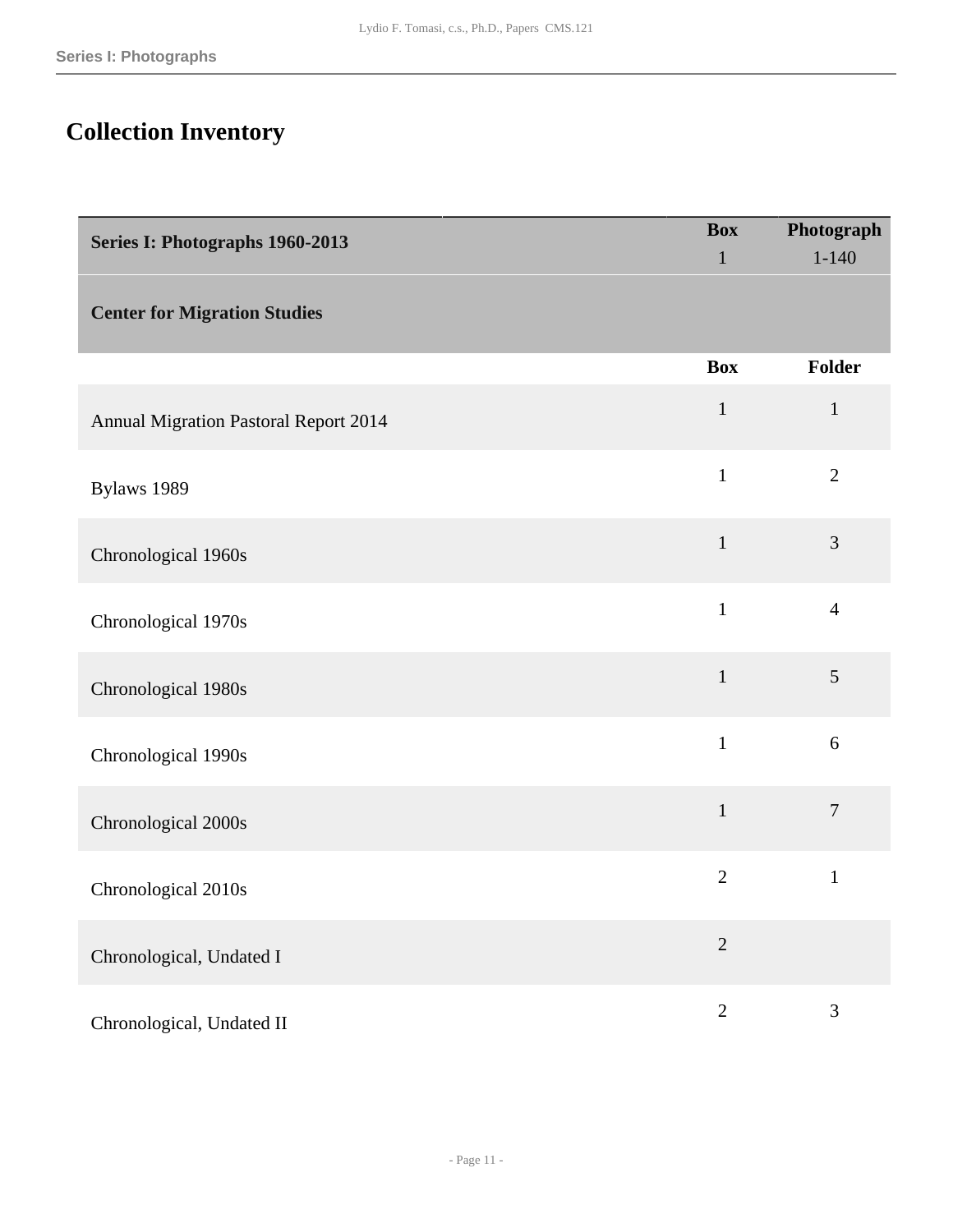# <span id="page-10-0"></span>**Collection Inventory**

<span id="page-10-2"></span><span id="page-10-1"></span>

| Series I: Photographs 1960-2013              | <b>Box</b>     | Photograph     |  |
|----------------------------------------------|----------------|----------------|--|
|                                              | $\mathbf{1}$   | $1 - 140$      |  |
| <b>Center for Migration Studies</b>          |                |                |  |
|                                              | <b>Box</b>     | Folder         |  |
| <b>Annual Migration Pastoral Report 2014</b> | $\mathbf{1}$   | $\mathbf{1}$   |  |
| Bylaws 1989                                  | $\mathbf{1}$   | $\overline{2}$ |  |
| Chronological 1960s                          | $\mathbf{1}$   | 3              |  |
| Chronological 1970s                          | $\mathbf{1}$   | $\overline{4}$ |  |
| Chronological 1980s                          | $\mathbf{1}$   | 5              |  |
| Chronological 1990s                          | $\mathbf{1}$   | 6              |  |
| Chronological 2000s                          | $\mathbf{1}$   | $\overline{7}$ |  |
| Chronological 2010s                          | $\overline{2}$ | $\mathbf{1}$   |  |
| Chronological, Undated I                     | $\overline{2}$ |                |  |
| Chronological, Undated II                    | $\sqrt{2}$     | 3              |  |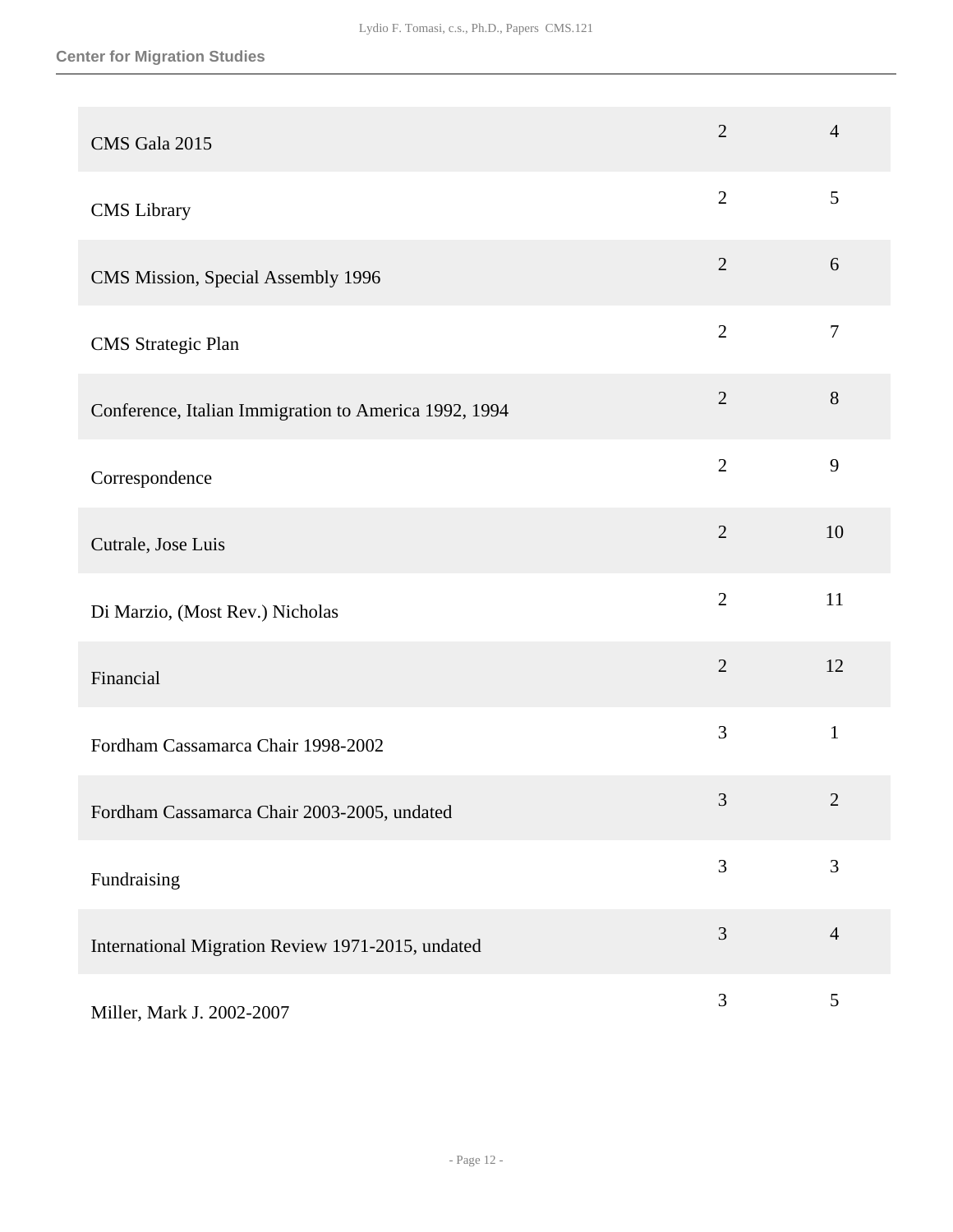| CMS Gala 2015                                         | $\overline{2}$ | $\overline{4}$ |
|-------------------------------------------------------|----------------|----------------|
| <b>CMS</b> Library                                    | $\overline{2}$ | 5              |
| CMS Mission, Special Assembly 1996                    | $\overline{2}$ | 6              |
| <b>CMS</b> Strategic Plan                             | $\overline{2}$ | $\overline{7}$ |
| Conference, Italian Immigration to America 1992, 1994 | $\overline{2}$ | 8              |
| Correspondence                                        | $\overline{2}$ | 9              |
| Cutrale, Jose Luis                                    | $\overline{2}$ | 10             |
| Di Marzio, (Most Rev.) Nicholas                       | $\overline{2}$ | 11             |
| Financial                                             | $\overline{2}$ | 12             |
| Fordham Cassamarca Chair 1998-2002                    | 3              | $\mathbf{1}$   |
| Fordham Cassamarca Chair 2003-2005, undated           | 3              | $\overline{c}$ |
| Fundraising                                           | 3              | 3              |
| International Migration Review 1971-2015, undated     | 3              | $\overline{4}$ |
| Miller, Mark J. 2002-2007                             | 3              | 5              |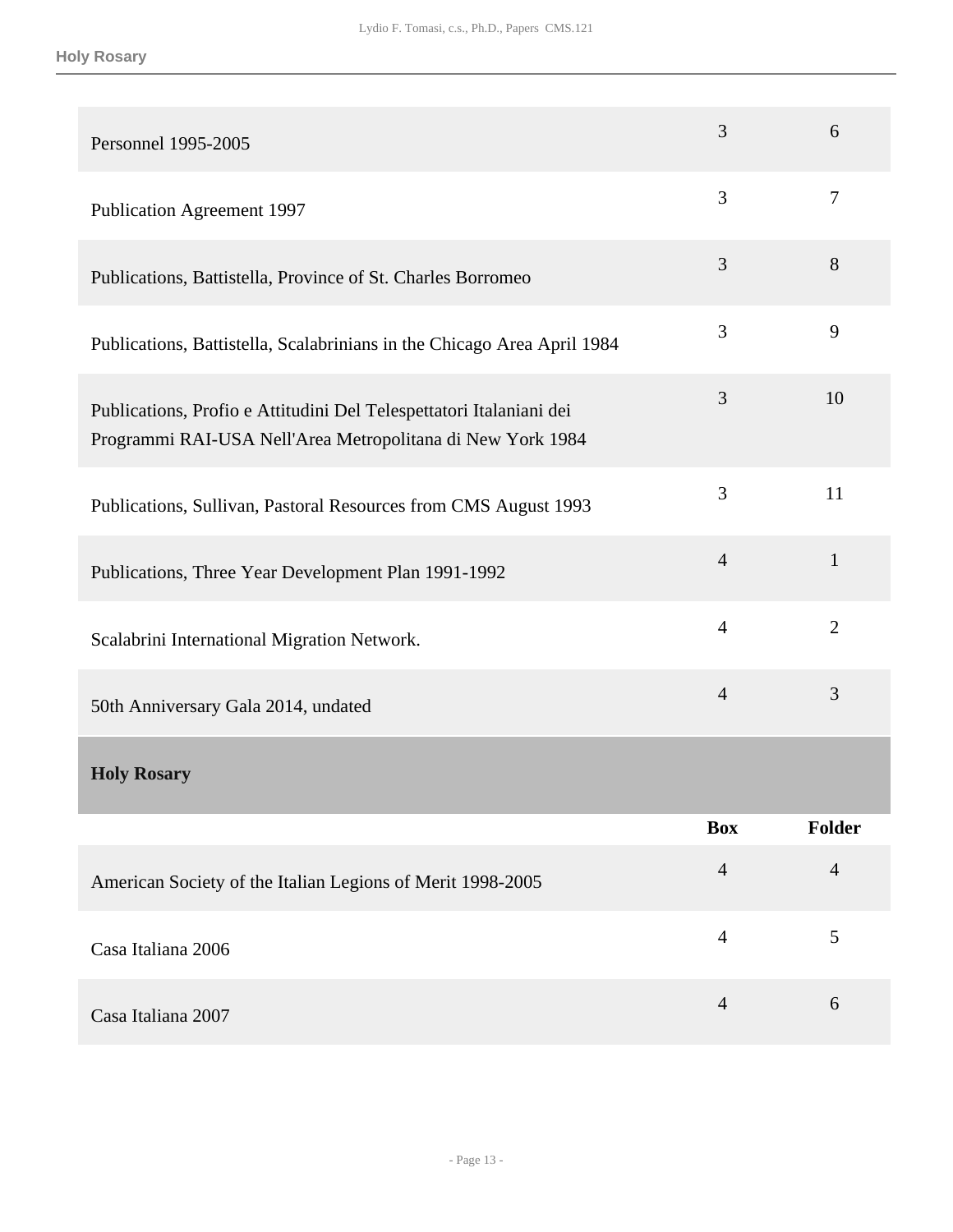<span id="page-12-0"></span>

| Personnel 1995-2005                                                                                                               | 3              | 6              |
|-----------------------------------------------------------------------------------------------------------------------------------|----------------|----------------|
| <b>Publication Agreement 1997</b>                                                                                                 | 3              | 7              |
| Publications, Battistella, Province of St. Charles Borromeo                                                                       | 3              | 8              |
| Publications, Battistella, Scalabrinians in the Chicago Area April 1984                                                           | 3              | 9              |
| Publications, Profio e Attitudini Del Telespettatori Italaniani dei<br>Programmi RAI-USA Nell'Area Metropolitana di New York 1984 | 3              | 10             |
| Publications, Sullivan, Pastoral Resources from CMS August 1993                                                                   | 3              | 11             |
| Publications, Three Year Development Plan 1991-1992                                                                               | $\overline{4}$ | $\mathbf{1}$   |
| Scalabrini International Migration Network.                                                                                       | $\overline{4}$ | $\overline{2}$ |
| 50th Anniversary Gala 2014, undated                                                                                               | $\overline{4}$ | 3              |
| <b>Holy Rosary</b>                                                                                                                |                |                |
|                                                                                                                                   | <b>Box</b>     | <b>Folder</b>  |
| American Society of the Italian Legions of Merit 1998-2005                                                                        | $\overline{4}$ | $\overline{4}$ |
| Casa Italiana 2006                                                                                                                | $\overline{4}$ | 5              |
| Casa Italiana 2007                                                                                                                | $\overline{4}$ | 6              |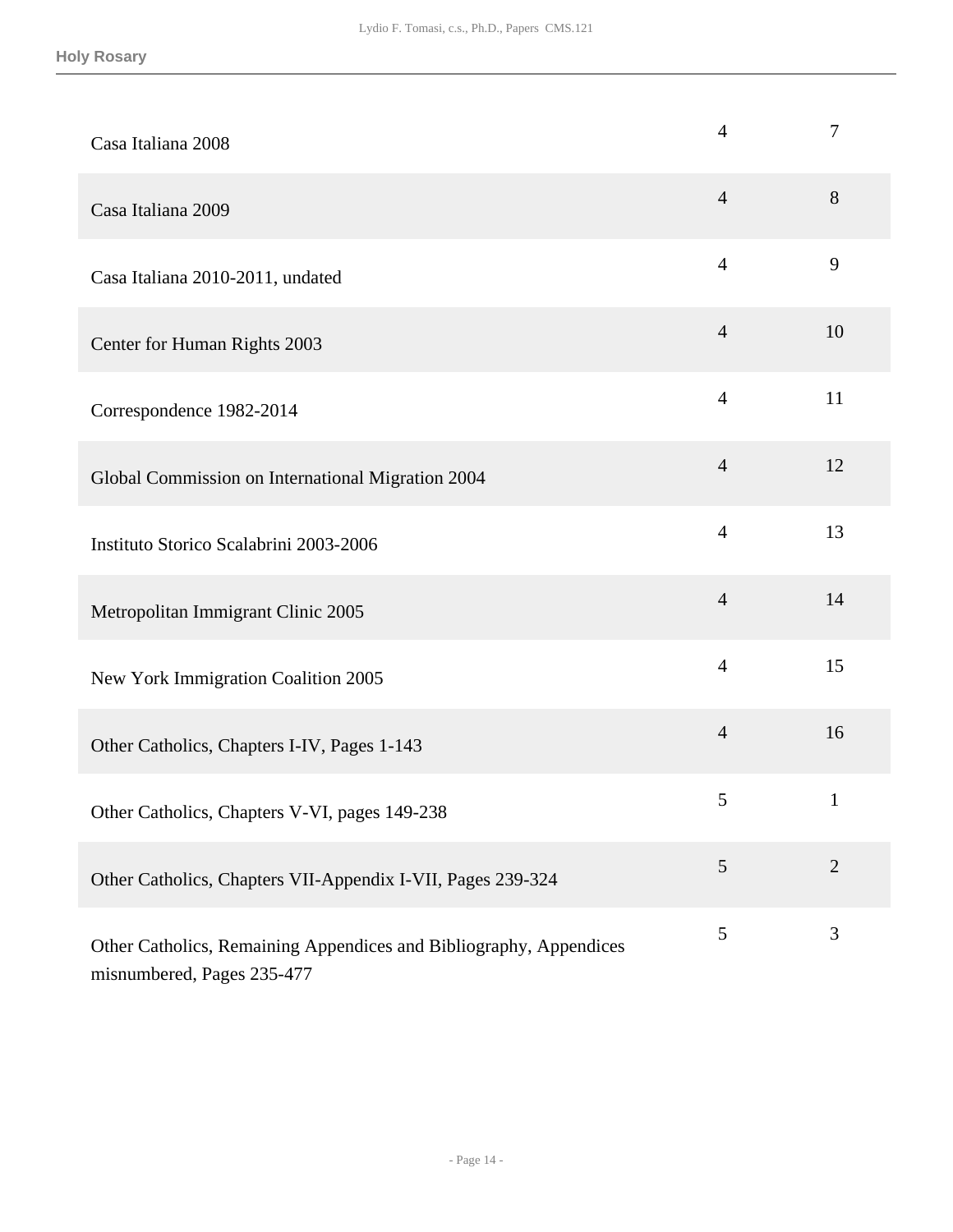| Casa Italiana 2008                                                                               | $\overline{4}$ | $\tau$         |
|--------------------------------------------------------------------------------------------------|----------------|----------------|
| Casa Italiana 2009                                                                               | $\overline{4}$ | $8\,$          |
| Casa Italiana 2010-2011, undated                                                                 | $\overline{4}$ | 9              |
| Center for Human Rights 2003                                                                     | $\overline{4}$ | 10             |
| Correspondence 1982-2014                                                                         | $\overline{4}$ | 11             |
| Global Commission on International Migration 2004                                                | $\overline{4}$ | 12             |
| Instituto Storico Scalabrini 2003-2006                                                           | $\overline{4}$ | 13             |
| Metropolitan Immigrant Clinic 2005                                                               | $\overline{4}$ | 14             |
| New York Immigration Coalition 2005                                                              | $\overline{4}$ | 15             |
| Other Catholics, Chapters I-IV, Pages 1-143                                                      | $\overline{4}$ | 16             |
| Other Catholics, Chapters V-VI, pages 149-238                                                    | 5              | $\mathbf 1$    |
| Other Catholics, Chapters VII-Appendix I-VII, Pages 239-324                                      | 5              | $\overline{2}$ |
| Other Catholics, Remaining Appendices and Bibliography, Appendices<br>misnumbered, Pages 235-477 | 5              | 3              |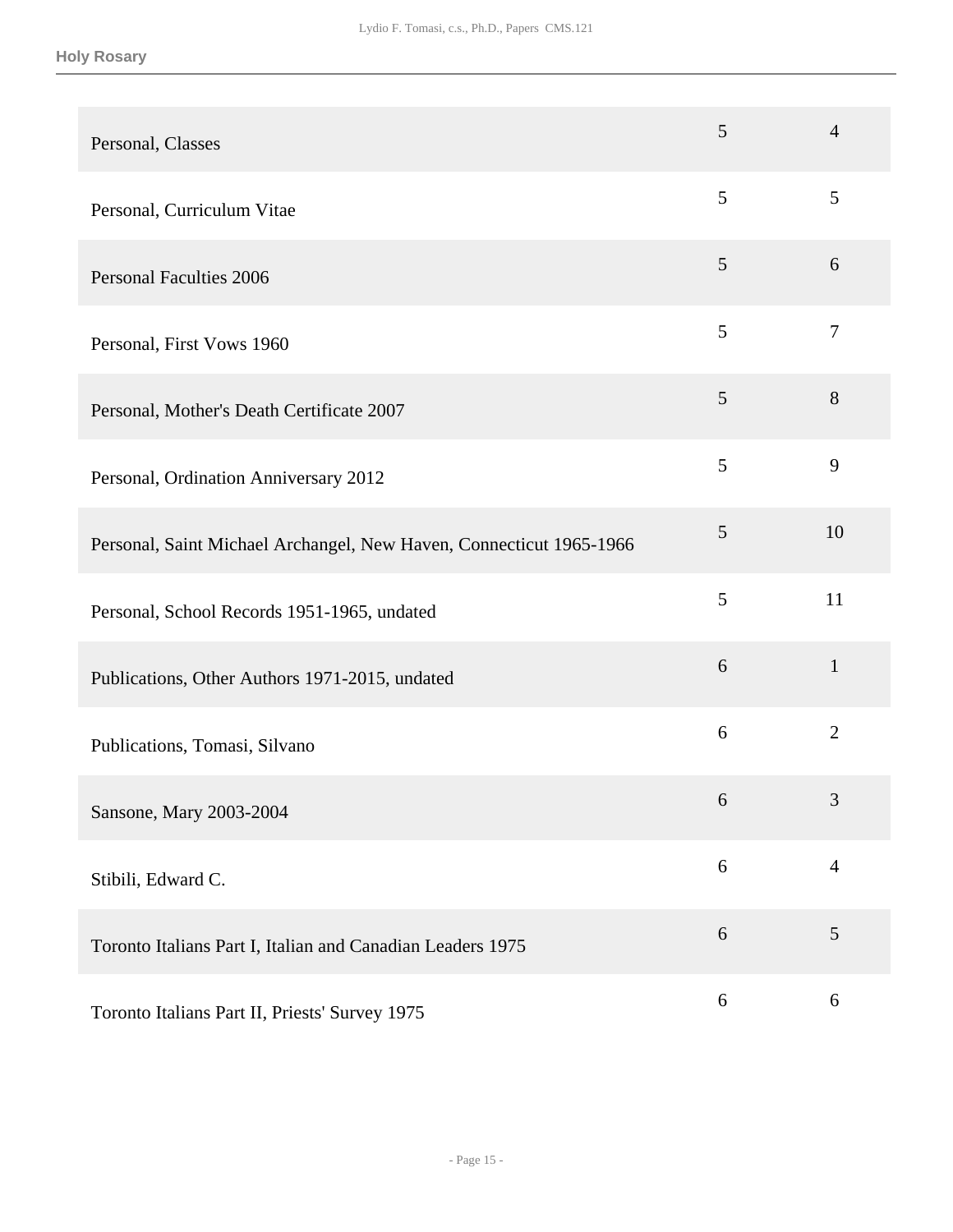| Personal, Classes                                                   | 5     | $\overline{4}$ |
|---------------------------------------------------------------------|-------|----------------|
| Personal, Curriculum Vitae                                          | 5     | 5              |
| <b>Personal Faculties 2006</b>                                      | 5     | 6              |
| Personal, First Vows 1960                                           | 5     | $\overline{7}$ |
| Personal, Mother's Death Certificate 2007                           | 5     | 8              |
| Personal, Ordination Anniversary 2012                               | 5     | 9              |
| Personal, Saint Michael Archangel, New Haven, Connecticut 1965-1966 | 5     | 10             |
| Personal, School Records 1951-1965, undated                         | 5     | 11             |
| Publications, Other Authors 1971-2015, undated                      | 6     | $\mathbf{1}$   |
| Publications, Tomasi, Silvano                                       | 6     | $\overline{2}$ |
| Sansone, Mary 2003-2004                                             | 6     | 3              |
| Stibili, Edward C.                                                  | $6\,$ | $\overline{4}$ |
| Toronto Italians Part I, Italian and Canadian Leaders 1975          | 6     | 5              |
| Toronto Italians Part II, Priests' Survey 1975                      | 6     | $6\,$          |